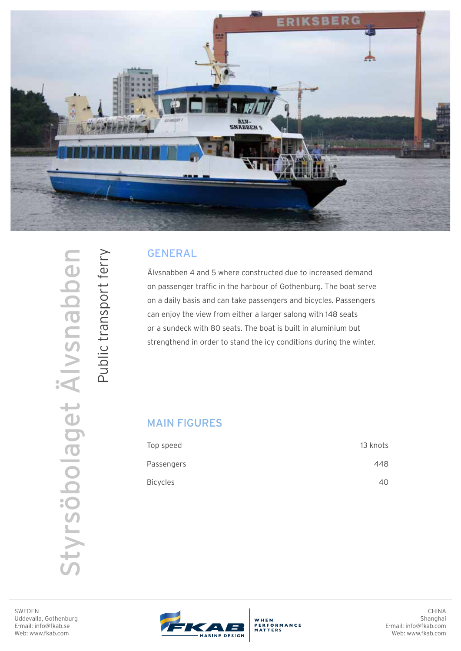

## GENERAL

Älvsnabben 4 and 5 where constructed due to increased demand on passenger traffic in the harbour of Gothenburg. The boat serve on a daily basis and can take passengers and bicycles. Passengers can enjoy the view from either a larger salong with 148 seats or a sundeck with 80 seats. The boat is built in aluminium but strengthend in order to stand the icy conditions during the winter.

## MAIN FIGURES

| Top speed       | 13 knots |
|-----------------|----------|
| Passengers      | 448      |
| <b>Bicycles</b> | 40       |

Public transport ferry